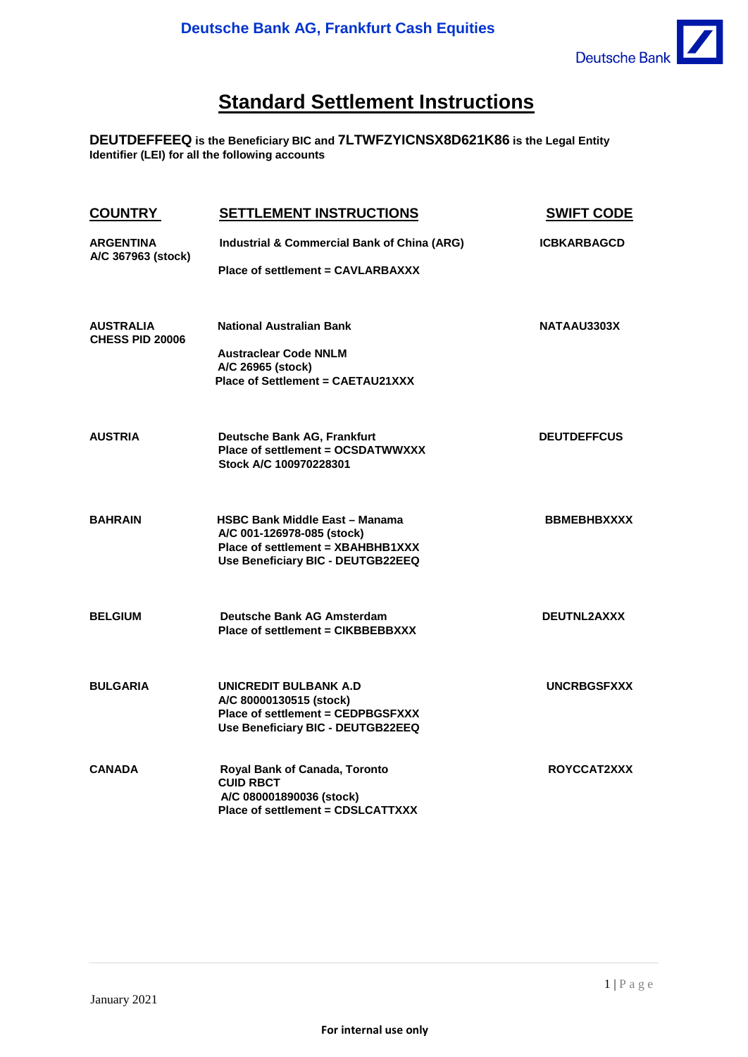

## **Standard Settlement Instructions**

**DEUTDEFFEEQ is the Beneficiary BIC and 7LTWFZYICNSX8D621K86 is the Legal Entity Identifier (LEI) for all the following accounts**

| <b>COUNTRY</b>                             | <b>SETTLEMENT INSTRUCTIONS</b>                                                                                                                | <b>SWIFT CODE</b>  |
|--------------------------------------------|-----------------------------------------------------------------------------------------------------------------------------------------------|--------------------|
| <b>ARGENTINA</b><br>A/C 367963 (stock)     | Industrial & Commercial Bank of China (ARG)<br><b>Place of settlement = CAVLARBAXXX</b>                                                       | <b>ICBKARBAGCD</b> |
| <b>AUSTRALIA</b><br><b>CHESS PID 20006</b> | <b>National Australian Bank</b><br><b>Austraclear Code NNLM</b><br>A/C 26965 (stock)<br>Place of Settlement = CAETAU21XXX                     | NATAAU3303X        |
| <b>AUSTRIA</b>                             | Deutsche Bank AG, Frankfurt<br>Place of settlement = OCSDATWWXXX<br>Stock A/C 100970228301                                                    | <b>DEUTDEFFCUS</b> |
| <b>BAHRAIN</b>                             | <b>HSBC Bank Middle East - Manama</b><br>A/C 001-126978-085 (stock)<br>Place of settlement = XBAHBHB1XXX<br>Use Beneficiary BIC - DEUTGB22EEQ | <b>BBMEBHBXXXX</b> |
| <b>BELGIUM</b>                             | Deutsche Bank AG Amsterdam<br>Place of settlement = CIKBBEBBXXX                                                                               | DEUTNL2AXXX        |
| <b>BULGARIA</b>                            | UNICREDIT BULBANK A.D<br>A/C 80000130515 (stock)<br>Place of settlement = CEDPBGSFXXX<br>Use Beneficiary BIC - DEUTGB22EEQ                    | <b>UNCRBGSFXXX</b> |
| <b>CANADA</b>                              | Royal Bank of Canada, Toronto<br><b>CUID RBCT</b><br>A/C 080001890036 (stock)<br>Place of settlement = CDSLCATTXXX                            | ROYCCAT2XXX        |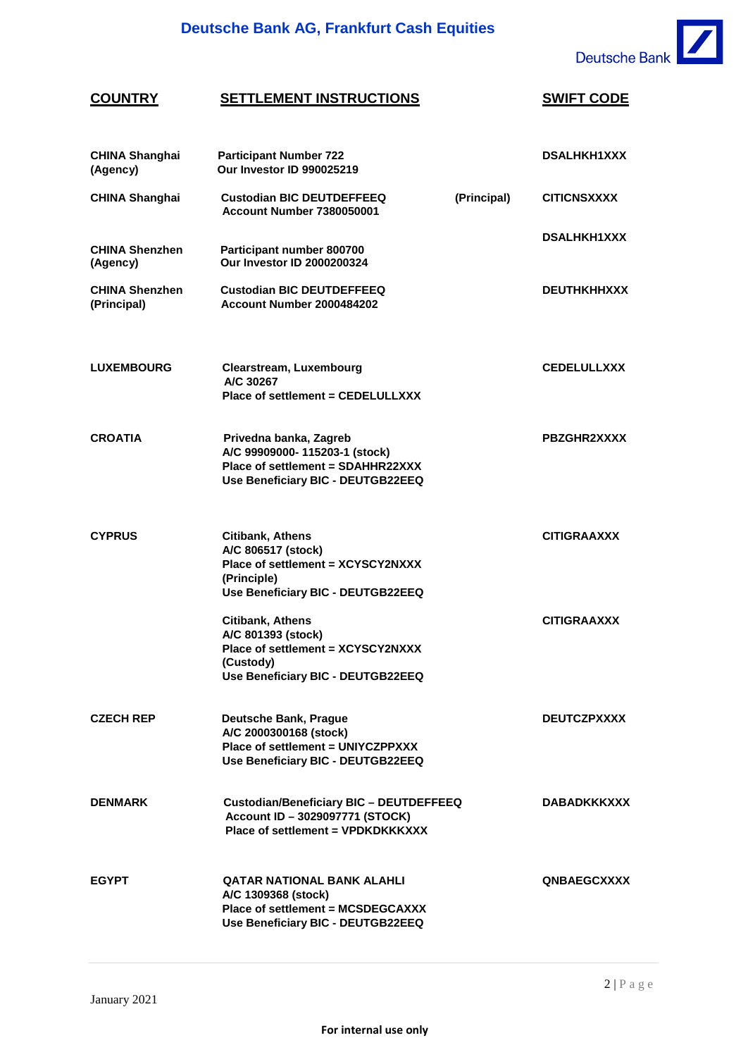

#### **COUNTRY SETTLEMENT INSTRUCTIONS SWIFT CODE CHINA Shanghai Participant Number 722 (Agency) Our Investor ID 990025219 CHINA Shanghai DSALHKH1XXX**  Custodian BIC DEUTDEFFEEQ **(Principal) Account Number 7380050001 CITICNSXXXX CHINA Shenzhen Participant number 800700 (Agency) Our Investor ID 2000200324 DSALHKH1XXX CHINA Shenzhen Custodian BIC DEUTDEFFEEQ (Principal) Account Number 2000484202 DEUTHKHHXXX LUXEMBOURG Clearstream, Luxembourg A/C 30267 Place of settlement = CEDELULLXXX CEDELULLXXX CROATIA Privedna banka, Zagreb A/C 99909000- 115203-1 (stock) Place of settlement = SDAHHR22XXX Use Beneficiary BIC - DEUTGB22EEQ PBZGHR2XXXX CYPRUS Citibank, Athens A/C 806517 (stock) Place of settlement = XCYSCY2NXXX (Principle) Use Beneficiary BIC - DEUTGB22EEQ CITIGRAAXXX Citibank, Athens A/C 801393 (stock) Place of settlement = XCYSCY2NXXX (Custody) Use Beneficiary BIC - DEUTGB22EEQ CITIGRAAXXX CZECH REP Deutsche Bank, Prague A/C 2000300168 (stock) Place of settlement = UNIYCZPPXXX Use Beneficiary BIC - DEUTGB22EEQ DEUTCZPXXXX DENMARK Custodian/Beneficiary BIC – DEUTDEFFEEQ Account ID – 3029097771 (STOCK) Place of settlement = VPDKDKKKXXX DABADKKKXXX EGYPT QATAR NATIONAL BANK ALAHLI A/C 1309368 (stock) Place of settlement = MCSDEGCAXXX Use Beneficiary BIC - DEUTGB22EEQ QNBAEGCXXXX**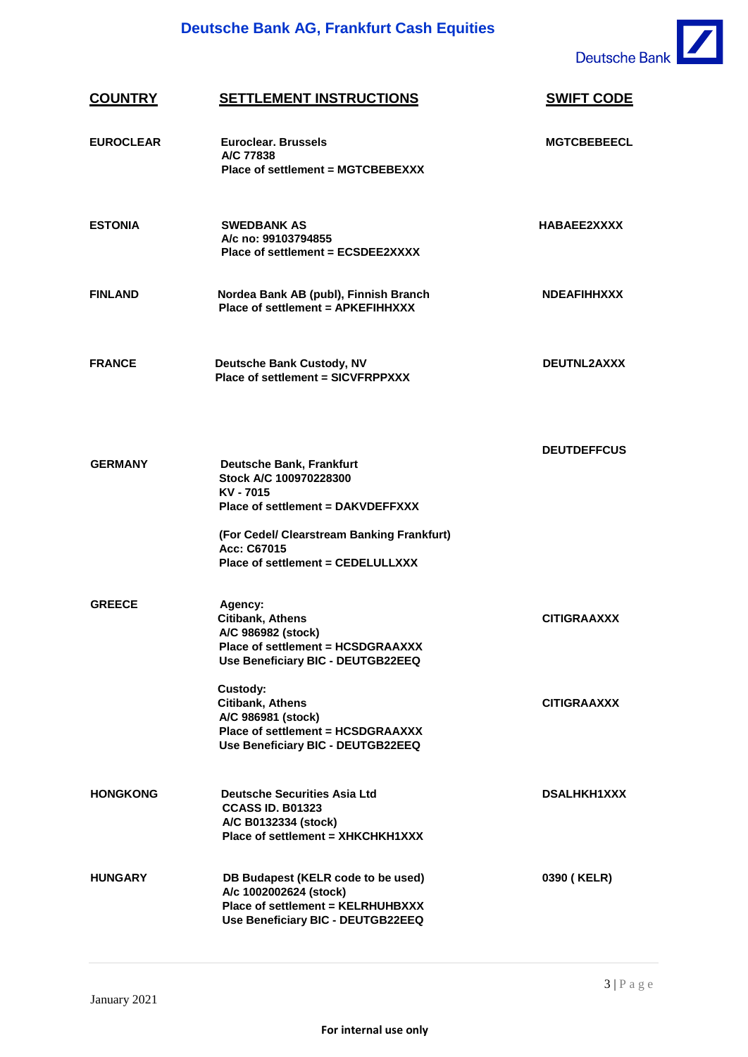

| <b>COUNTRY</b>   | <b>SETTLEMENT INSTRUCTIONS</b>                                                                                                                                           | <b>SWIFT CODE</b>  |
|------------------|--------------------------------------------------------------------------------------------------------------------------------------------------------------------------|--------------------|
| <b>EUROCLEAR</b> | <b>Euroclear, Brussels</b><br>A/C 77838<br>Place of settlement = MGTCBEBEXXX                                                                                             | <b>MGTCBEBEECL</b> |
| <b>ESTONIA</b>   | <b>SWEDBANK AS</b><br>A/c no: 99103794855<br>Place of settlement = ECSDEE2XXXX                                                                                           | <b>HABAEE2XXXX</b> |
| <b>FINLAND</b>   | Nordea Bank AB (publ), Finnish Branch<br>Place of settlement = APKEFIHHXXX                                                                                               | <b>NDEAFIHHXXX</b> |
| <b>FRANCE</b>    | <b>Deutsche Bank Custody, NV</b><br>Place of settlement = SICVFRPPXXX                                                                                                    | DEUTNL2AXXX        |
| <b>GERMANY</b>   | <b>Deutsche Bank, Frankfurt</b><br>Stock A/C 100970228300<br>KV - 7015<br>Place of settlement = DAKVDEFFXXX<br>(For Cedel/ Clearstream Banking Frankfurt)<br>Acc: C67015 | <b>DEUTDEFFCUS</b> |
|                  | Place of settlement = CEDELULLXXX                                                                                                                                        |                    |
| <b>GREECE</b>    | Agency:<br>Citibank, Athens<br>A/C 986982 (stock)<br>Place of settlement = HCSDGRAAXXX<br>Use Beneficiary BIC - DEUTGB22EEQ                                              | <b>CITIGRAAXXX</b> |
|                  | Custody:<br><b>Citibank, Athens</b><br>A/C 986981 (stock)<br>Place of settlement = HCSDGRAAXXX<br>Use Beneficiary BIC - DEUTGB22EEQ                                      | <b>CITIGRAAXXX</b> |
| <b>HONGKONG</b>  | <b>Deutsche Securities Asia Ltd</b><br><b>CCASS ID. B01323</b><br>A/C B0132334 (stock)<br>Place of settlement = XHKCHKH1XXX                                              | <b>DSALHKH1XXX</b> |
| <b>HUNGARY</b>   | DB Budapest (KELR code to be used)<br>A/c 1002002624 (stock)<br>Place of settlement = KELRHUHBXXX<br>Use Beneficiary BIC - DEUTGB22EEQ                                   | 0390 (KELR)        |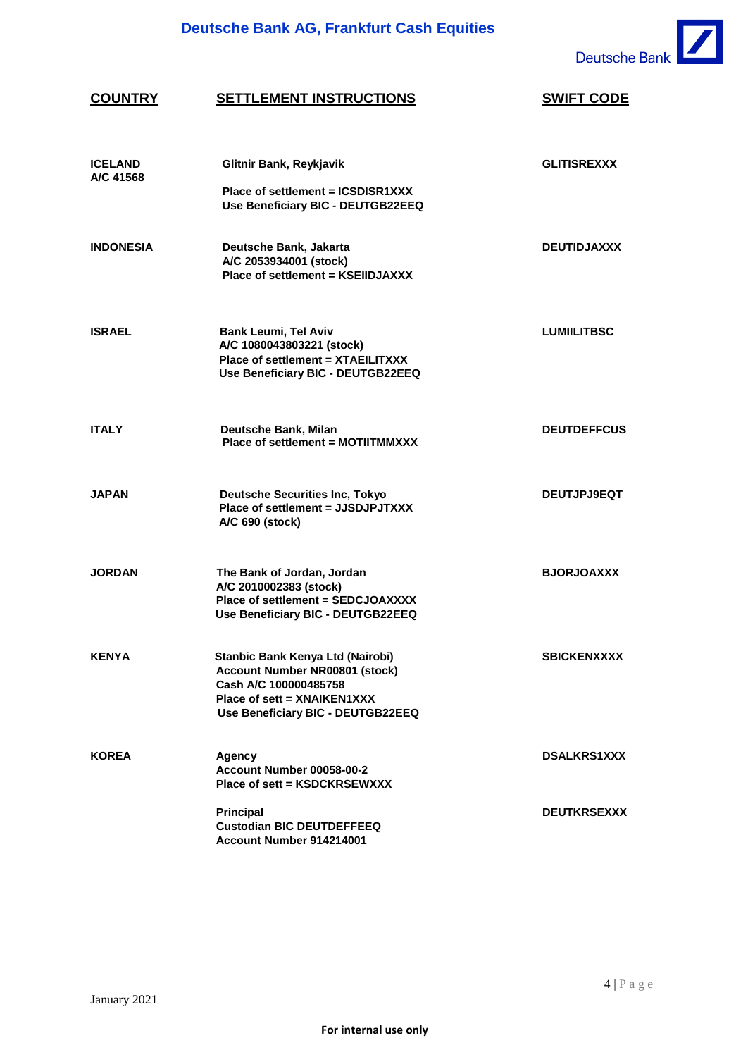

## **COUNTRY SETTLEMENT INSTRUCTIONS SWIFT CODE**

| <b>ICELAND</b><br>A/C 41568 | Glitnir Bank, Reykjavik<br>Place of settlement = ICSDISR1XXX<br>Use Beneficiary BIC - DEUTGB22EEQ                                                               | <b>GLITISREXXX</b> |
|-----------------------------|-----------------------------------------------------------------------------------------------------------------------------------------------------------------|--------------------|
| <b>INDONESIA</b>            | Deutsche Bank, Jakarta<br>A/C 2053934001 (stock)<br>Place of settlement = KSEIIDJAXXX                                                                           | <b>DEUTIDJAXXX</b> |
| <b>ISRAEL</b>               | <b>Bank Leumi, Tel Aviv</b><br>A/C 1080043803221 (stock)<br>Place of settlement = XTAEILITXXX<br>Use Beneficiary BIC - DEUTGB22EEQ                              | <b>LUMIILITBSC</b> |
| <b>ITALY</b>                | Deutsche Bank, Milan<br>Place of settlement = MOTIITMMXXX                                                                                                       | <b>DEUTDEFFCUS</b> |
| <b>JAPAN</b>                | <b>Deutsche Securities Inc, Tokyo</b><br>Place of settlement = JJSDJPJTXXX<br>A/C 690 (stock)                                                                   | <b>DEUTJPJ9EQT</b> |
| <b>JORDAN</b>               | The Bank of Jordan, Jordan<br>A/C 2010002383 (stock)<br>Place of settlement = SEDCJOAXXXX<br>Use Beneficiary BIC - DEUTGB22EEQ                                  | <b>BJORJOAXXX</b>  |
| <b>KENYA</b>                | Stanbic Bank Kenya Ltd (Nairobi)<br>Account Number NR00801 (stock)<br>Cash A/C 100000485758<br>Place of sett = XNAIKEN1XXX<br>Use Beneficiary BIC - DEUTGB22EEQ | <b>SBICKENXXXX</b> |
| <b>KOREA</b>                | <b>Agency</b><br>Account Number 00058-00-2<br>Place of sett = KSDCKRSEWXXX                                                                                      | <b>DSALKRS1XXX</b> |
|                             | <b>Principal</b><br><b>Custodian BIC DEUTDEFFEEQ</b><br>Account Number 914214001                                                                                | <b>DEUTKRSEXXX</b> |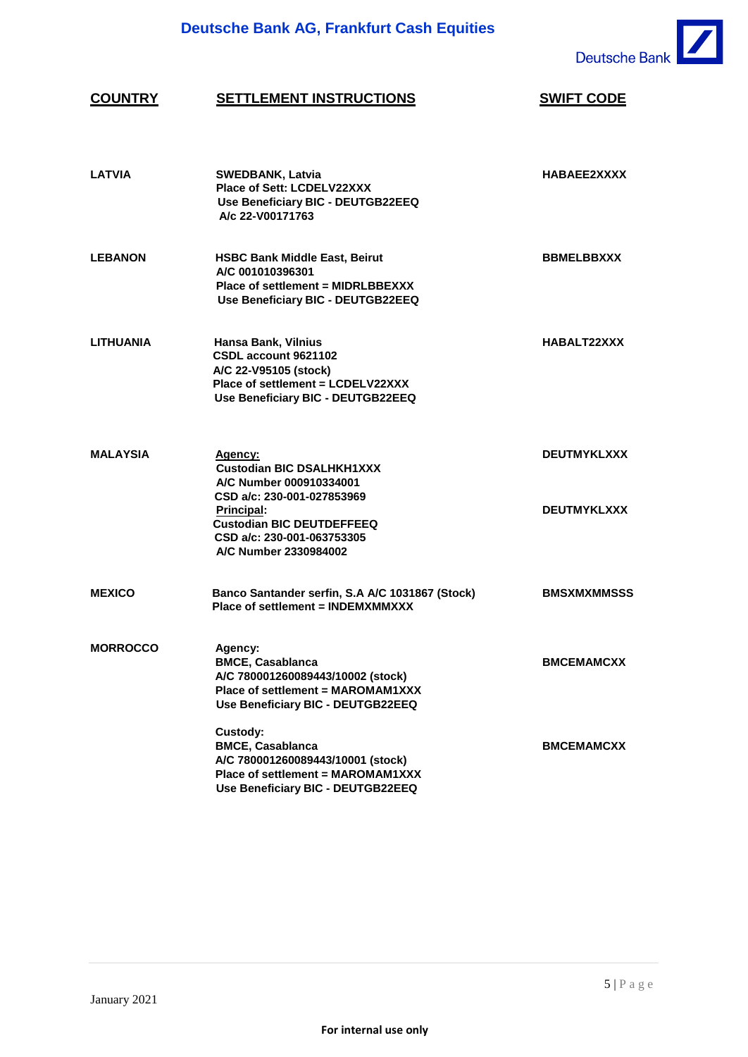

# **COUNTRY SETTLEMENT INSTRUCTIONS SWIFT CODE**

| <b>LATVIA</b>    | <b>SWEDBANK, Latvia</b><br>Place of Sett: LCDELV22XXX<br>Use Beneficiary BIC - DEUTGB22EEQ<br>A/c 22-V00171763                                                                                                       | HABAEE2XXXX                              |
|------------------|----------------------------------------------------------------------------------------------------------------------------------------------------------------------------------------------------------------------|------------------------------------------|
| <b>LEBANON</b>   | <b>HSBC Bank Middle East, Beirut</b><br>A/C 001010396301<br>Place of settlement = MIDRLBBEXXX<br>Use Beneficiary BIC - DEUTGB22EEQ                                                                                   | <b>BBMELBBXXX</b>                        |
| <b>LITHUANIA</b> | Hansa Bank, Vilnius<br>CSDL account 9621102<br>A/C 22-V95105 (stock)<br>Place of settlement = LCDELV22XXX<br>Use Beneficiary BIC - DEUTGB22EEQ                                                                       | HABALT22XXX                              |
| <b>MALAYSIA</b>  | Agency:<br><b>Custodian BIC DSALHKH1XXX</b><br>A/C Number 000910334001<br>CSD a/c: 230-001-027853969<br><b>Principal:</b><br><b>Custodian BIC DEUTDEFFEEQ</b><br>CSD a/c: 230-001-063753305<br>A/C Number 2330984002 | <b>DEUTMYKLXXX</b><br><b>DEUTMYKLXXX</b> |
| <b>MEXICO</b>    | Banco Santander serfin, S.A A/C 1031867 (Stock)<br>Place of settlement = INDEMXMMXXX                                                                                                                                 | <b>BMSXMXMMSSS</b>                       |
| <b>MORROCCO</b>  | Agency:<br><b>BMCE, Casablanca</b><br>A/C 780001260089443/10002 (stock)<br>Place of settlement = MAROMAM1XXX<br>Use Beneficiary BIC - DEUTGB22EEQ                                                                    | <b>BMCEMAMCXX</b>                        |
|                  | Custody:<br><b>BMCE, Casablanca</b><br>A/C 780001260089443/10001 (stock)<br>Place of settlement = MAROMAM1XXX<br>Use Beneficiary BIC - DEUTGB22EEQ                                                                   | <b>BMCEMAMCXX</b>                        |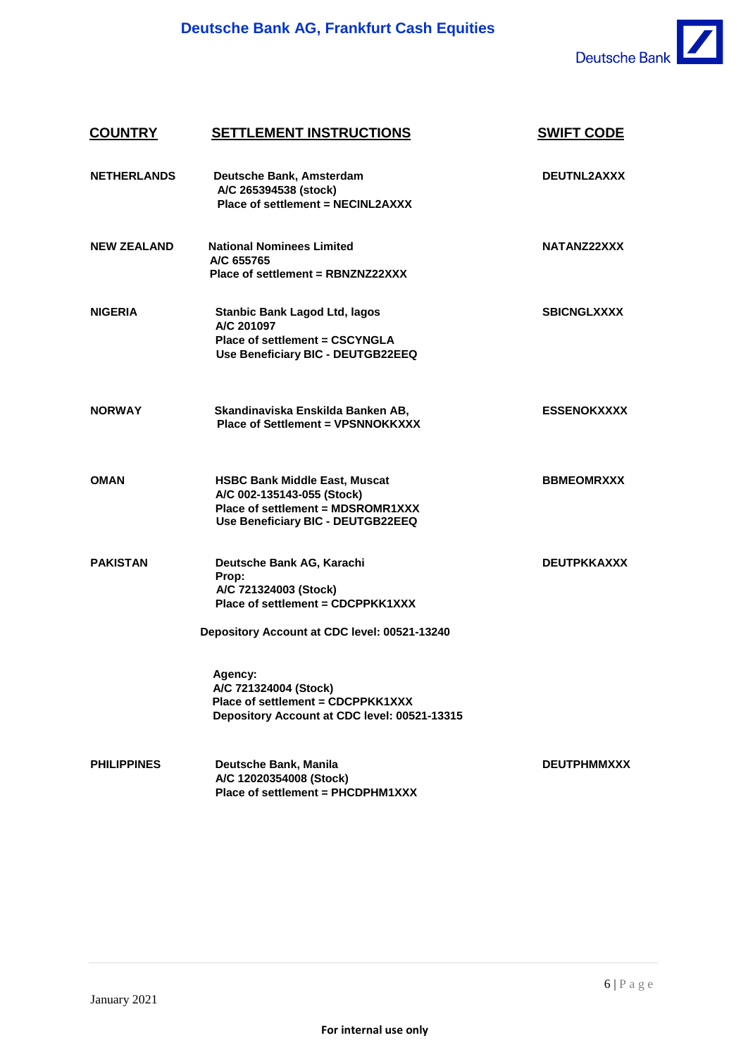

### **COUNTRY SETTLEMENT INSTRUCTIONS SWIFT CODE NETHERLANDS Deutsche Bank, Amsterdam A/C 265394538 (stock) Place of settlement = NECINL2AXXX DEUTNL2AXXX NEW ZEALAND National Nominees Limited NATANZ22XXX A/C 655765 Place of settlement = RBNZNZ22XXX NIGERIA Stanbic Bank Lagod Ltd, lagos A/C 201097 Place of settlement = CSCYNGLA SBICNGLXXXX Use Beneficiary BIC - DEUTGB22EEQ NORWAY Skandinaviska Enskilda Banken AB, Place of Settlement = VPSNNOKKXXX ESSENOKXXXX OMAN HSBC Bank Middle East, Muscat A/C 002-135143-055 (Stock) Place of settlement = MDSROMR1XXX Use Beneficiary BIC - DEUTGB22EEQ BBMEOMRXXX PAKISTAN Deutsche Bank AG, Karachi Prop: A/C 721324003 (Stock) Place of settlement = CDCPPKK1XXX Depository Account at CDC level: 00521-13240 DEUTPKKAXXX Agency: A/C 721324004 (Stock) Place of settlement = CDCPPKK1XXX Depository Account at CDC level: 00521-13315 PHILIPPINES Deutsche Bank, Manila A/C 12020354008 (Stock) Place of settlement = PHCDPHM1XXX DEUTPHMMXXX**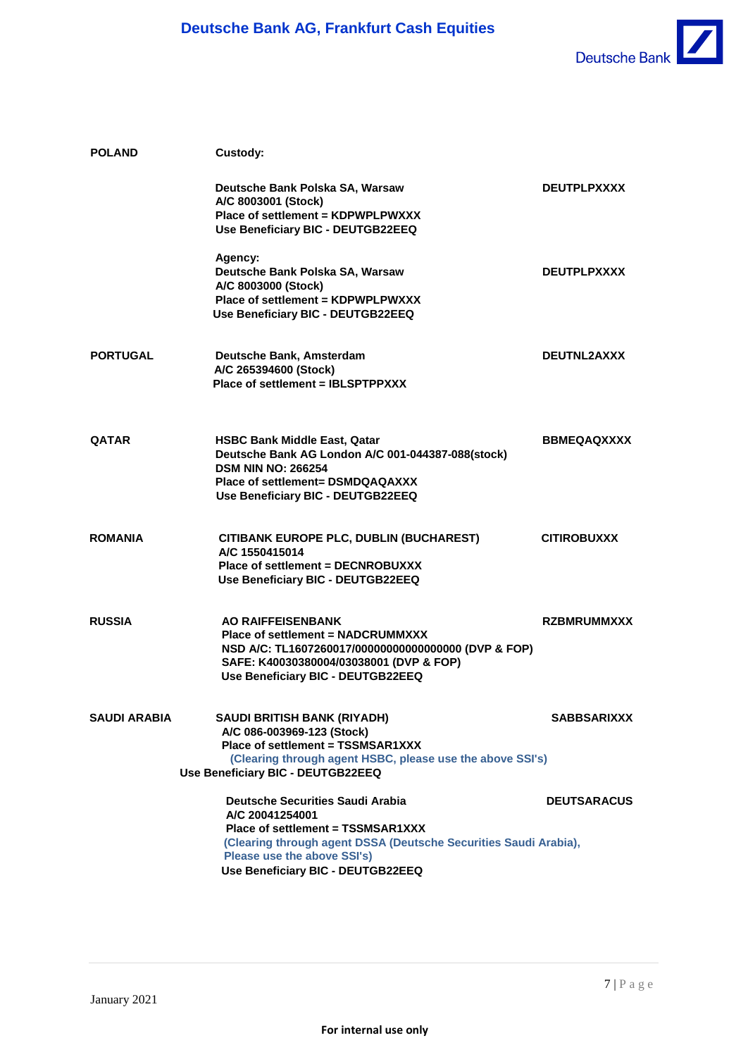

| <b>POLAND</b>   | Custody:                                                                                                                                                                                                                                |                    |
|-----------------|-----------------------------------------------------------------------------------------------------------------------------------------------------------------------------------------------------------------------------------------|--------------------|
|                 | Deutsche Bank Polska SA, Warsaw<br>A/C 8003001 (Stock)<br>Place of settlement = KDPWPLPWXXX<br>Use Beneficiary BIC - DEUTGB22EEQ                                                                                                        | <b>DEUTPLPXXXX</b> |
|                 | Agency:<br>Deutsche Bank Polska SA, Warsaw<br>A/C 8003000 (Stock)<br>Place of settlement = KDPWPLPWXXX<br>Use Beneficiary BIC - DEUTGB22EEQ                                                                                             | <b>DEUTPLPXXXX</b> |
| <b>PORTUGAL</b> | Deutsche Bank, Amsterdam<br>A/C 265394600 (Stock)<br>Place of settlement = IBLSPTPPXXX                                                                                                                                                  | <b>DEUTNL2AXXX</b> |
| <b>QATAR</b>    | <b>HSBC Bank Middle East, Qatar</b><br>Deutsche Bank AG London A/C 001-044387-088(stock)<br><b>DSM NIN NO: 266254</b><br>Place of settlement= DSMDQAQAXXX<br>Use Beneficiary BIC - DEUTGB22EEQ                                          | <b>BBMEQAQXXXX</b> |
| ROMANIA         | CITIBANK EUROPE PLC, DUBLIN (BUCHAREST)<br>A/C 1550415014<br>Place of settlement = DECNROBUXXX<br>Use Beneficiary BIC - DEUTGB22EEQ                                                                                                     | <b>CITIROBUXXX</b> |
| <b>RUSSIA</b>   | <b>AO RAIFFEISENBANK</b><br><b>Place of settlement = NADCRUMMXXX</b><br>NSD A/C: TL1607260017/000000000000000000 (DVP & FOP)<br>SAFE: K40030380004/03038001 (DVP & FOP)<br>Use Beneficiary BIC - DEUTGB22EEQ                            | <b>RZBMRUMMXXX</b> |
| SAUDI ARABIA    | SAUDI BRITISH BANK (RIYADH)<br>A/C 086-003969-123 (Stock)<br>Place of settlement = TSSMSAR1XXX<br>(Clearing through agent HSBC, please use the above SSI's)<br>Use Beneficiary BIC - DEUTGB22EEQ                                        | <b>SABBSARIXXX</b> |
|                 | <b>Deutsche Securities Saudi Arabia</b><br>A/C 20041254001<br>Place of settlement = TSSMSAR1XXX<br>(Clearing through agent DSSA (Deutsche Securities Saudi Arabia),<br>Please use the above SSI's)<br>Use Beneficiary BIC - DEUTGB22EEQ | <b>DEUTSARACUS</b> |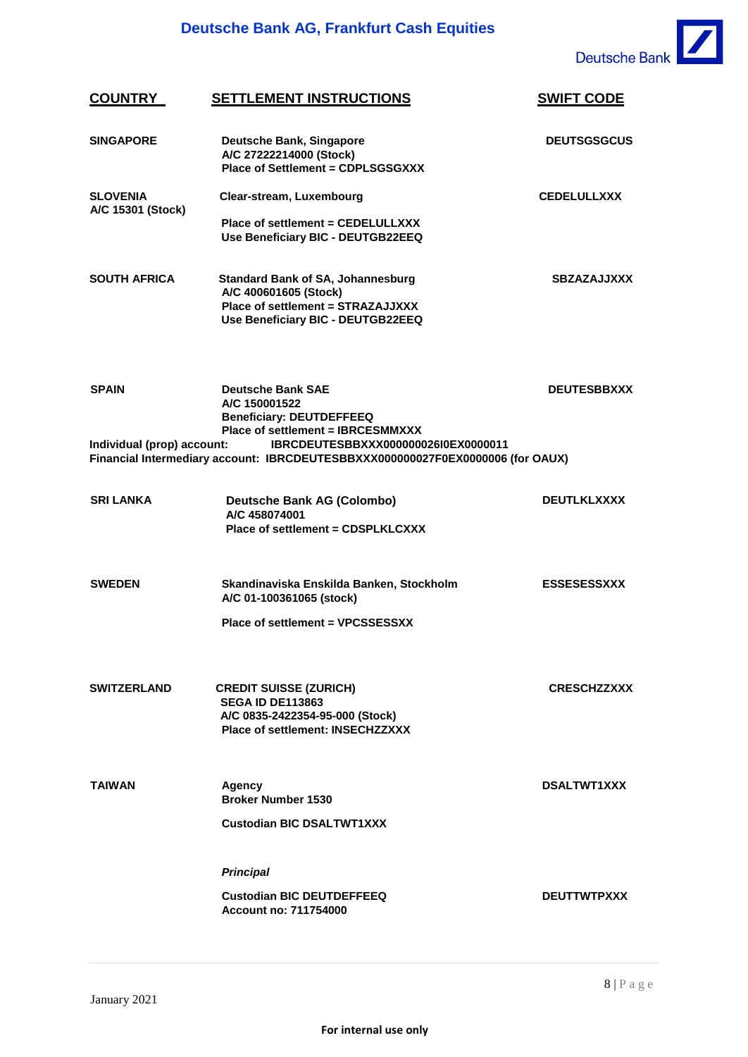

| <b>COUNTRY</b>                             | <b>SETTLEMENT INSTRUCTIONS</b>                                                                                                                                                                                                             | <b>SWIFT CODE</b>  |
|--------------------------------------------|--------------------------------------------------------------------------------------------------------------------------------------------------------------------------------------------------------------------------------------------|--------------------|
| <b>SINGAPORE</b>                           | <b>Deutsche Bank, Singapore</b><br>A/C 27222214000 (Stock)<br><b>Place of Settlement = CDPLSGSGXXX</b>                                                                                                                                     | <b>DEUTSGSGCUS</b> |
| <b>SLOVENIA</b>                            | Clear-stream, Luxembourg                                                                                                                                                                                                                   | <b>CEDELULLXXX</b> |
| A/C 15301 (Stock)                          | Place of settlement = CEDELULLXXX<br>Use Beneficiary BIC - DEUTGB22EEQ                                                                                                                                                                     |                    |
| <b>SOUTH AFRICA</b>                        | <b>Standard Bank of SA, Johannesburg</b><br>A/C 400601605 (Stock)<br>Place of settlement = STRAZAJJXXX<br>Use Beneficiary BIC - DEUTGB22EEQ                                                                                                | <b>SBZAZAJJXXX</b> |
| <b>SPAIN</b><br>Individual (prop) account: | <b>Deutsche Bank SAE</b><br>A/C 150001522<br><b>Beneficiary: DEUTDEFFEEQ</b><br>Place of settlement = IBRCESMMXXX<br>IBRCDEUTESBBXXX000000026I0EX0000011<br>Financial Intermediary account: IBRCDEUTESBBXXX000000027F0EX0000006 (for OAUX) | <b>DEUTESBBXXX</b> |
|                                            |                                                                                                                                                                                                                                            |                    |
| <b>SRI LANKA</b>                           | <b>Deutsche Bank AG (Colombo)</b><br>A/C 458074001<br>Place of settlement = CDSPLKLCXXX                                                                                                                                                    | <b>DEUTLKLXXXX</b> |
| <b>SWEDEN</b>                              | Skandinaviska Enskilda Banken, Stockholm<br>A/C 01-100361065 (stock)                                                                                                                                                                       | <b>ESSESESSXXX</b> |
|                                            | Place of settlement = VPCSSESSXX                                                                                                                                                                                                           |                    |
| <b>SWITZERLAND</b>                         | <b>CREDIT SUISSE (ZURICH)</b><br><b>SEGA ID DE113863</b><br>A/C 0835-2422354-95-000 (Stock)<br>Place of settlement: INSECHZZXXX                                                                                                            | <b>CRESCHZZXXX</b> |
| <b>TAIWAN</b>                              | Agency<br><b>Broker Number 1530</b><br><b>Custodian BIC DSALTWT1XXX</b>                                                                                                                                                                    | <b>DSALTWT1XXX</b> |
|                                            |                                                                                                                                                                                                                                            |                    |
|                                            | <b>Principal</b>                                                                                                                                                                                                                           |                    |
|                                            | <b>Custodian BIC DEUTDEFFEEQ</b><br><b>Account no: 711754000</b>                                                                                                                                                                           | <b>DEUTTWTPXXX</b> |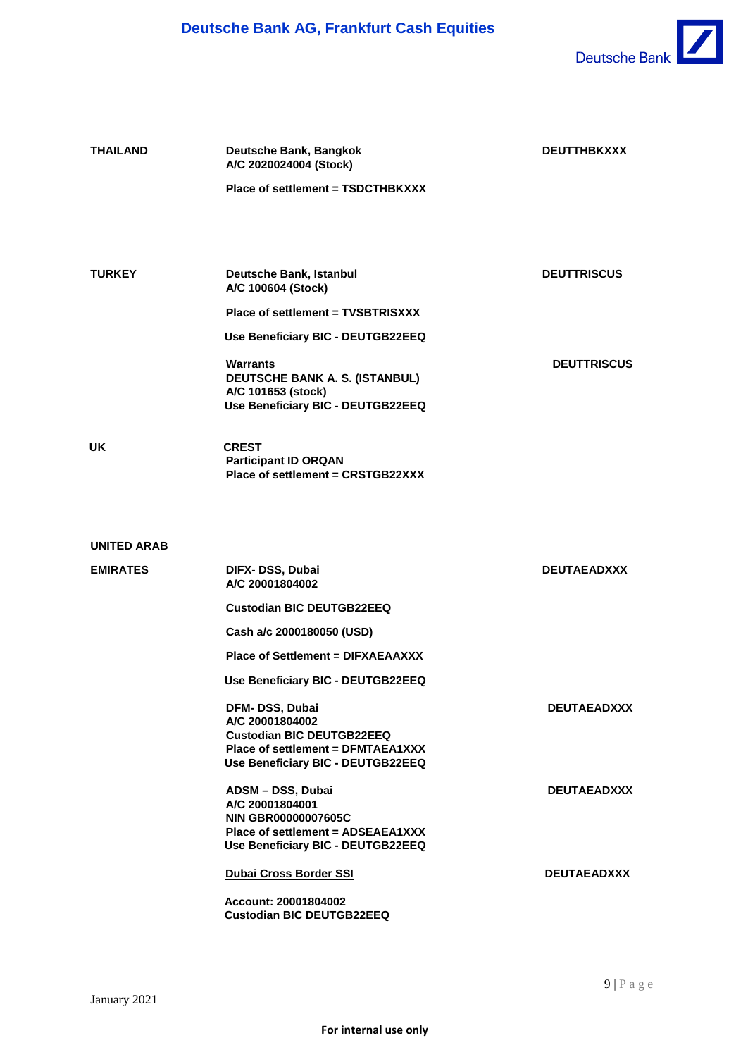

| <b>THAILAND</b> | Deutsche Bank, Bangkok<br>A/C 2020024004 (Stock)<br>Place of settlement = TSDCTHBKXXX                                                           | <b>DEUTTHBKXXX</b> |
|-----------------|-------------------------------------------------------------------------------------------------------------------------------------------------|--------------------|
|                 |                                                                                                                                                 |                    |
| <b>TURKEY</b>   | Deutsche Bank, Istanbul<br>A/C 100604 (Stock)                                                                                                   | <b>DEUTTRISCUS</b> |
|                 | Place of settlement = TVSBTRISXXX                                                                                                               |                    |
|                 | Use Beneficiary BIC - DEUTGB22EEQ                                                                                                               |                    |
|                 | <b>Warrants</b><br>DEUTSCHE BANK A. S. (ISTANBUL)<br>A/C 101653 (stock)<br>Use Beneficiary BIC - DEUTGB22EEQ                                    | <b>DEUTTRISCUS</b> |
| UK              | <b>CREST</b><br><b>Participant ID ORQAN</b><br>Place of settlement = CRSTGB22XXX                                                                |                    |
| UNITED ARAB     |                                                                                                                                                 |                    |
| <b>EMIRATES</b> | DIFX- DSS, Dubai<br>A/C 20001804002                                                                                                             | <b>DEUTAEADXXX</b> |
|                 | <b>Custodian BIC DEUTGB22EEQ</b>                                                                                                                |                    |
|                 | Cash a/c 2000180050 (USD)                                                                                                                       |                    |
|                 | <b>Place of Settlement = DIFXAEAAXXX</b>                                                                                                        |                    |
|                 | Use Beneficiary BIC - DEUTGB22EEQ                                                                                                               |                    |
|                 | DFM-DSS, Dubai<br>A/C 20001804002<br><b>Custodian BIC DEUTGB22EEQ</b><br>Place of settlement = DFMTAEA1XXX<br>Use Beneficiary BIC - DEUTGB22EEQ | <b>DEUTAEADXXX</b> |
|                 | ADSM - DSS, Dubai<br>A/C 20001804001<br><b>NIN GBR00000007605C</b><br>Place of settlement = ADSEAEA1XXX<br>Use Beneficiary BIC - DEUTGB22EEQ    | <b>DEUTAEADXXX</b> |
|                 | <b>Dubai Cross Border SSI</b><br>Account: 20001804002<br><b>Custodian BIC DEUTGB22EEQ</b>                                                       | <b>DEUTAEADXXX</b> |